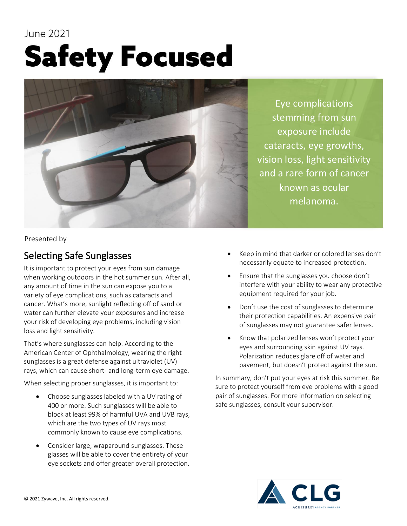## June 2021 **Safety Focused**



Eye complications stemming from sun exposure include cataracts, eye growths, vision loss, light sensitivity and a rare form of cancer known as ocular melanoma.

Presented by

## Selecting Safe Sunglasses

It is important to protect your eyes from sun damage when working outdoors in the hot summer sun. After all, any amount of time in the sun can expose you to a variety of eye complications, such as cataracts and cancer. What's more, sunlight reflecting off of sand or water can further elevate your exposures and increase your risk of developing eye problems, including vision loss and light sensitivity.

That's where sunglasses can help. According to the American Center of Ophthalmology, wearing the right sunglasses is a great defense against ultraviolet (UV) rays, which can cause short- and long-term eye damage.

When selecting proper sunglasses, it is important to:

- Choose sunglasses labeled with a UV rating of 400 or more. Such sunglasses will be able to block at least 99% of harmful UVA and UVB rays, which are the two types of UV rays most commonly known to cause eye complications.
- Consider large, wraparound sunglasses. These glasses will be able to cover the entirety of your eye sockets and offer greater overall protection.
- Keep in mind that darker or colored lenses don't necessarily equate to increased protection.
- Ensure that the sunglasses you choose don't interfere with your ability to wear any protective equipment required for your job.
- Don't use the cost of sunglasses to determine their protection capabilities. An expensive pair of sunglasses may not guarantee safer lenses.
- Know that polarized lenses won't protect your eyes and surrounding skin against UV rays. Polarization reduces glare off of water and pavement, but doesn't protect against the sun.

In summary, don't put your eyes at risk this summer. Be sure to protect yourself from eye problems with a good pair of sunglasses. For more information on selecting safe sunglasses, consult your supervisor.